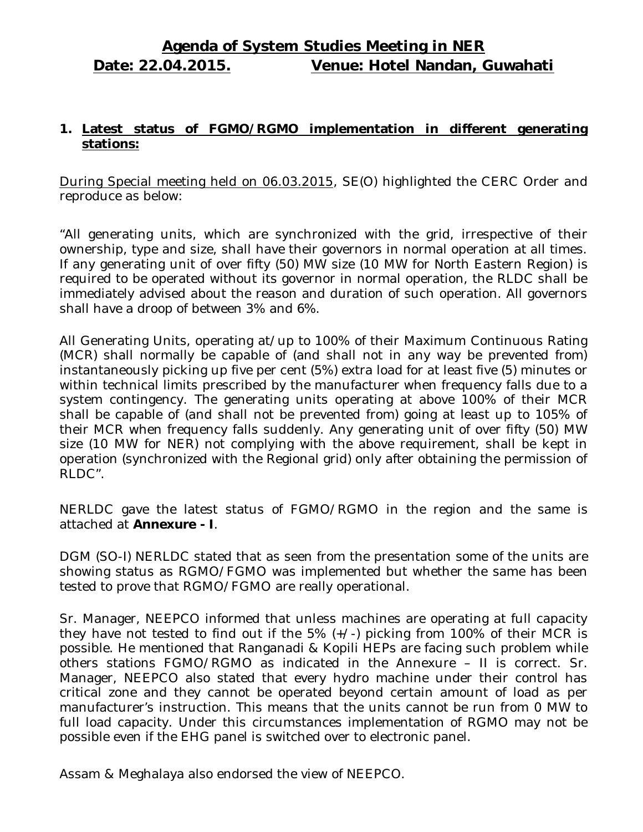# **Agenda of System Studies Meeting in NER Date: 22.04.2015. Venue: Hotel Nandan, Guwahati**

#### **1. Latest status of FGMO/RGMO implementation in different generating stations:**

During Special meeting held on 06.03.2015, SE(O) highlighted the CERC Order and reproduce as below:

"All generating units, which are synchronized with the grid, irrespective of their ownership, type and size, shall have their governors in normal operation at all times. If any generating unit of over fifty (50) MW size (10 MW for North Eastern Region) is required to be operated without its governor in normal operation, the RLDC shall be immediately advised about the reason and duration of such operation. All governors shall have a droop of between 3% and 6%.

All Generating Units, operating at/up to 100% of their Maximum Continuous Rating (MCR) shall normally be capable of (and shall not in any way be prevented from) instantaneously picking up five per cent (5%) extra load for at least five (5) minutes or within technical limits prescribed by the manufacturer when frequency falls due to a system contingency. The generating units operating at above 100% of their MCR shall be capable of (and shall not be prevented from) going at least up to 105% of their MCR when frequency falls suddenly. Any generating unit of over fifty (50) MW size (10 MW for NER) not complying with the above requirement, shall be kept in operation (synchronized with the Regional grid) only after obtaining the permission of RLDC".

NERLDC gave the latest status of FGMO/RGMO in the region and the same is attached at **Annexure - I**.

DGM (SO-I) NERLDC stated that as seen from the presentation some of the units are showing status as RGMO/FGMO was implemented but whether the same has been tested to prove that RGMO/FGMO are really operational.

Sr. Manager, NEEPCO informed that unless machines are operating at full capacity they have not tested to find out if the 5% (+/-) picking from 100% of their MCR is possible. He mentioned that Ranganadi & Kopili HEPs are facing such problem while others stations FGMO/RGMO as indicated in the Annexure – II is correct. Sr. Manager, NEEPCO also stated that every hydro machine under their control has critical zone and they cannot be operated beyond certain amount of load as per manufacturer's instruction. This means that the units cannot be run from 0 MW to full load capacity. Under this circumstances implementation of RGMO may not be possible even if the EHG panel is switched over to electronic panel.

Assam & Meghalaya also endorsed the view of NEEPCO.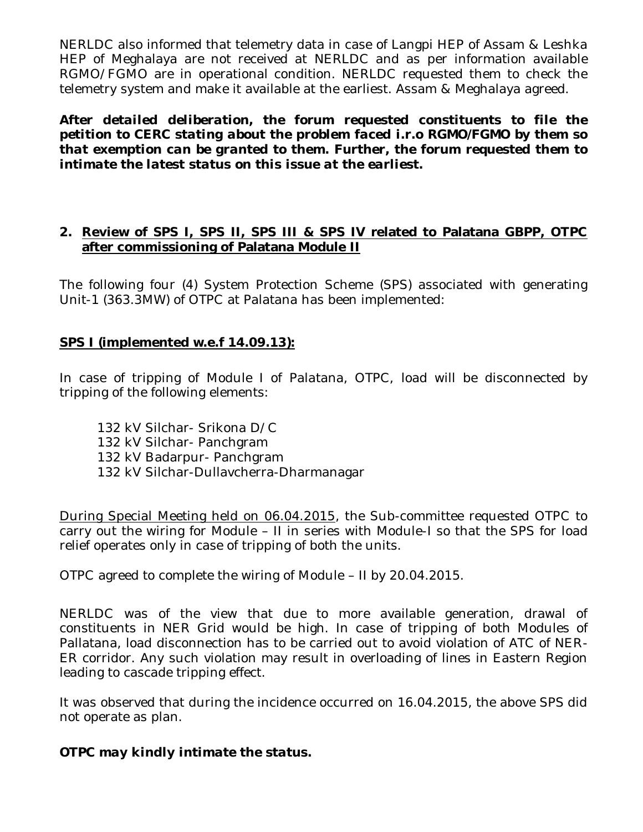NERLDC also informed that telemetry data in case of Langpi HEP of Assam & Leshka HEP of Meghalaya are not received at NERLDC and as per information available RGMO/FGMO are in operational condition. NERLDC requested them to check the telemetry system and make it available at the earliest. Assam & Meghalaya agreed.

*After detailed deliberation, the forum requested constituents to file the petition to CERC stating about the problem faced i.r.o RGMO/FGMO by them so that exemption can be granted to them. Further, the forum requested them to intimate the latest status on this issue at the earliest.*

#### **2. Review of SPS I, SPS II, SPS III & SPS IV related to Palatana GBPP, OTPC after commissioning of Palatana Module II**

The following four (4) System Protection Scheme (SPS) associated with generating Unit-1 (363.3MW) of OTPC at Palatana has been implemented:

#### **SPS I (implemented w.e.f 14.09.13):**

In case of tripping of Module I of Palatana, OTPC, load will be disconnected by tripping of the following elements:

132 kV Silchar- Srikona D/C 132 kV Silchar- Panchgram 132 kV Badarpur- Panchgram 132 kV Silchar-Dullavcherra-Dharmanagar

During Special Meeting held on 06.04.2015, the Sub-committee requested OTPC to carry out the wiring for Module – II in series with Module-I so that the SPS for load relief operates only in case of tripping of both the units.

OTPC agreed to complete the wiring of Module – II by 20.04.2015.

NERLDC was of the view that due to more available generation, drawal of constituents in NER Grid would be high. In case of tripping of both Modules of Pallatana, load disconnection has to be carried out to avoid violation of ATC of NER-ER corridor. Any such violation may result in overloading of lines in Eastern Region leading to cascade tripping effect.

It was observed that during the incidence occurred on 16.04.2015, the above SPS did not operate as plan.

*OTPC may kindly intimate the status.*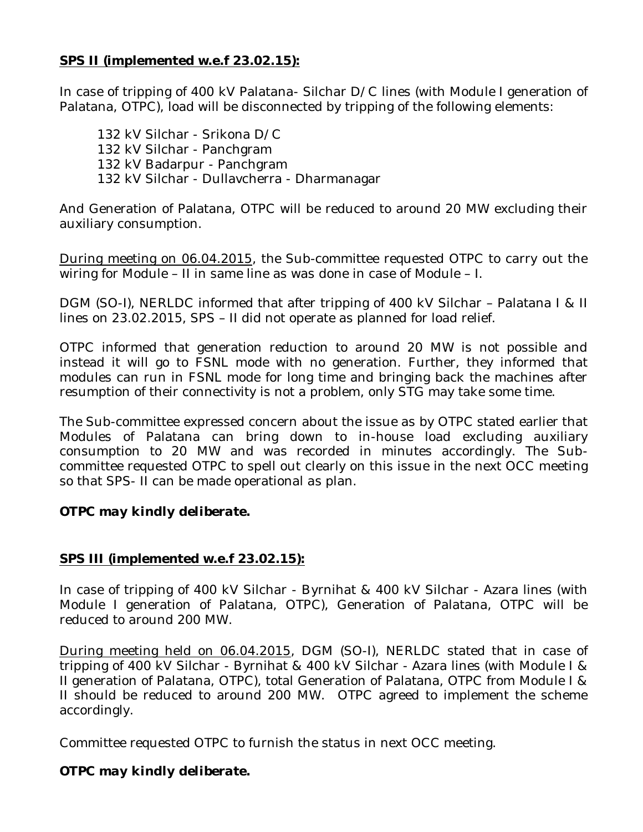#### **SPS II (implemented w.e.f 23.02.15):**

In case of tripping of 400 kV Palatana- Silchar D/C lines (with Module I generation of Palatana, OTPC), load will be disconnected by tripping of the following elements:

132 kV Silchar - Srikona D/C 132 kV Silchar - Panchgram 132 kV Badarpur - Panchgram 132 kV Silchar - Dullavcherra - Dharmanagar

And Generation of Palatana, OTPC will be reduced to around 20 MW excluding their auxiliary consumption.

During meeting on 06.04.2015, the Sub-committee requested OTPC to carry out the wiring for Module – II in same line as was done in case of Module – I.

DGM (SO-I), NERLDC informed that after tripping of 400 kV Silchar – Palatana I & II lines on 23.02.2015, SPS – II did not operate as planned for load relief.

OTPC informed that generation reduction to around 20 MW is not possible and instead it will go to FSNL mode with no generation. Further, they informed that modules can run in FSNL mode for long time and bringing back the machines after resumption of their connectivity is not a problem, only STG may take some time.

The Sub-committee expressed concern about the issue as by OTPC stated earlier that Modules of Palatana can bring down to in-house load excluding auxiliary consumption to 20 MW and was recorded in minutes accordingly. The Subcommittee requested OTPC to spell out clearly on this issue in the next OCC meeting so that SPS- II can be made operational as plan.

#### *OTPC may kindly deliberate.*

#### **SPS III (implemented w.e.f 23.02.15):**

In case of tripping of 400 kV Silchar - Byrnihat & 400 kV Silchar - Azara lines (with Module I generation of Palatana, OTPC), Generation of Palatana, OTPC will be reduced to around 200 MW.

During meeting held on 06.04.2015, DGM (SO-I), NERLDC stated that in case of tripping of 400 kV Silchar - Byrnihat & 400 kV Silchar - Azara lines (with Module I & II generation of Palatana, OTPC), total Generation of Palatana, OTPC from Module I & II should be reduced to around 200 MW. OTPC agreed to implement the scheme accordingly.

Committee requested OTPC to furnish the status in next OCC meeting.

#### *OTPC may kindly deliberate.*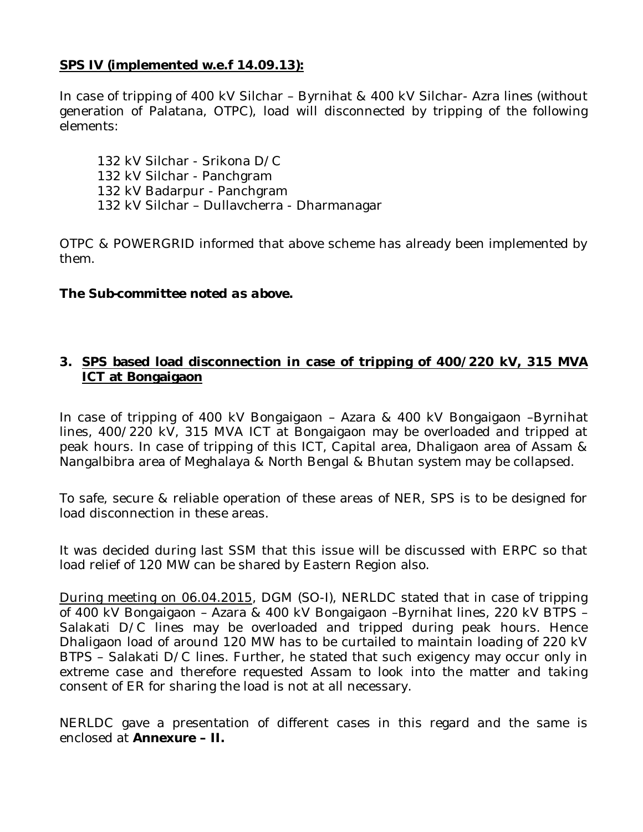## **SPS IV (implemented w.e.f 14.09.13):**

In case of tripping of 400 kV Silchar – Byrnihat & 400 kV Silchar- Azra lines (without generation of Palatana, OTPC), load will disconnected by tripping of the following elements:

132 kV Silchar - Srikona D/C 132 kV Silchar - Panchgram 132 kV Badarpur - Panchgram 132 kV Silchar – Dullavcherra - Dharmanagar

OTPC & POWERGRID informed that above scheme has already been implemented by them.

#### *The Sub-committee noted as above.*

#### **3. SPS based load disconnection in case of tripping of 400/220 kV, 315 MVA ICT at Bongaigaon**

In case of tripping of 400 kV Bongaigaon – Azara & 400 kV Bongaigaon –Byrnihat lines, 400/220 kV, 315 MVA ICT at Bongaigaon may be overloaded and tripped at peak hours. In case of tripping of this ICT, Capital area, Dhaligaon area of Assam & Nangalbibra area of Meghalaya & North Bengal & Bhutan system may be collapsed.

To safe, secure & reliable operation of these areas of NER, SPS is to be designed for load disconnection in these areas.

It was decided during last SSM that this issue will be discussed with ERPC so that load relief of 120 MW can be shared by Eastern Region also.

During meeting on 06.04.2015, DGM (SO-I), NERLDC stated that in case of tripping of 400 kV Bongaigaon – Azara & 400 kV Bongaigaon –Byrnihat lines, 220 kV BTPS – Salakati D/C lines may be overloaded and tripped during peak hours. Hence Dhaligaon load of around 120 MW has to be curtailed to maintain loading of 220 kV BTPS – Salakati D/C lines. Further, he stated that such exigency may occur only in extreme case and therefore requested Assam to look into the matter and taking consent of ER for sharing the load is not at all necessary.

NERLDC gave a presentation of different cases in this regard and the same is enclosed at **Annexure – II.**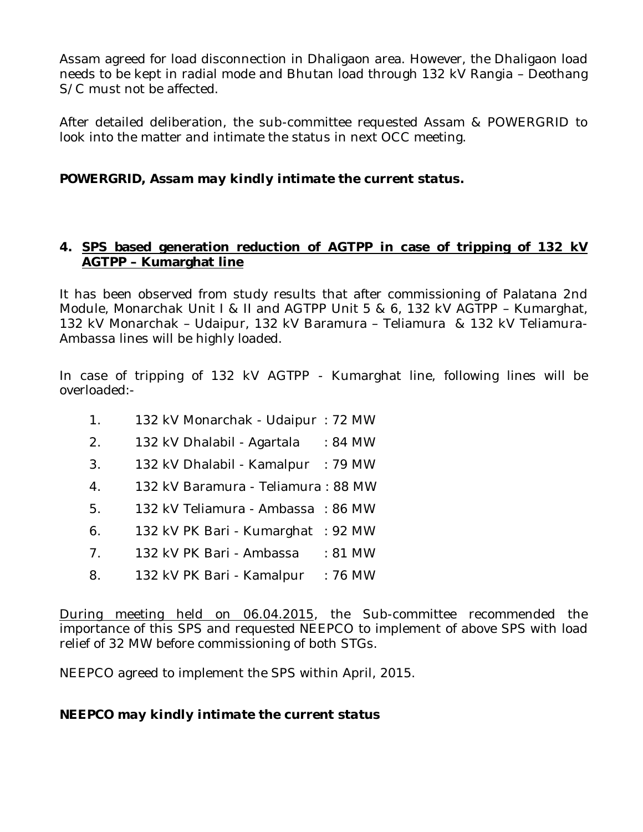Assam agreed for load disconnection in Dhaligaon area. However, the Dhaligaon load needs to be kept in radial mode and Bhutan load through 132 kV Rangia – Deothang S/C must not be affected.

After detailed deliberation, the sub-committee requested Assam & POWERGRID to look into the matter and intimate the status in next OCC meeting.

# *POWERGRID, Assam may kindly intimate the current status.*

# **4. SPS based generation reduction of AGTPP in case of tripping of 132 kV AGTPP – Kumarghat line**

It has been observed from study results that after commissioning of Palatana 2nd Module, Monarchak Unit I & II and AGTPP Unit 5 & 6, 132 kV AGTPP – Kumarghat, 132 kV Monarchak – Udaipur, 132 kV Baramura – Teliamura & 132 kV Teliamura-Ambassa lines will be highly loaded.

In case of tripping of 132 kV AGTPP - Kumarghat line, following lines will be overloaded:-

- 1. 132 kV Monarchak Udaipur : 72 MW
- 2. 132 kV Dhalabil Agartala : 84 MW
- 3. 132 kV Dhalabil Kamalpur : 79 MW
- 4. 132 kV Baramura Teliamura : 88 MW
- 5. 132 kV Teliamura Ambassa : 86 MW
- 6. 132 kV PK Bari Kumarghat : 92 MW
- 7. 132 kV PK Bari Ambassa : 81 MW
- 8. 132 kV PK Bari Kamalpur : 76 MW

During meeting held on 06.04.2015, the Sub-committee recommended the importance of this SPS and requested NEEPCO to implement of above SPS with load relief of 32 MW before commissioning of both STGs.

NEEPCO agreed to implement the SPS within April, 2015.

#### *NEEPCO may kindly intimate the current status*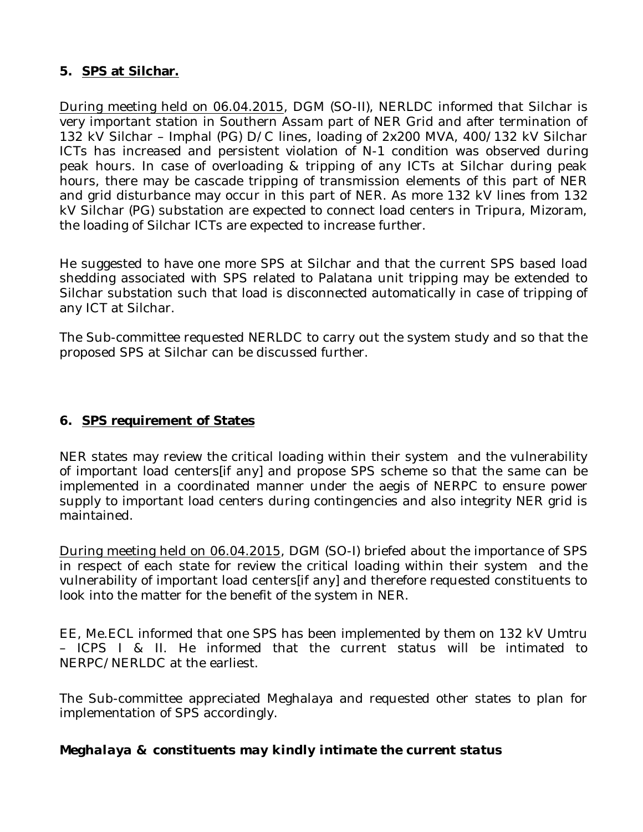# **5. SPS at Silchar.**

During meeting held on 06.04.2015, DGM (SO-II), NERLDC informed that Silchar is very important station in Southern Assam part of NER Grid and after termination of 132 kV Silchar – Imphal (PG) D/C lines, loading of 2x200 MVA, 400/132 kV Silchar ICTs has increased and persistent violation of N-1 condition was observed during peak hours. In case of overloading & tripping of any ICTs at Silchar during peak hours, there may be cascade tripping of transmission elements of this part of NER and grid disturbance may occur in this part of NER. As more 132 kV lines from 132 kV Silchar (PG) substation are expected to connect load centers in Tripura, Mizoram, the loading of Silchar ICTs are expected to increase further.

He suggested to have one more SPS at Silchar and that the current SPS based load shedding associated with SPS related to Palatana unit tripping may be extended to Silchar substation such that load is disconnected automatically in case of tripping of any ICT at Silchar.

The Sub-committee requested NERLDC to carry out the system study and so that the proposed SPS at Silchar can be discussed further.

# **6. SPS requirement of States**

NER states may review the critical loading within their system and the vulnerability of important load centers[if any] and propose SPS scheme so that the same can be implemented in a coordinated manner under the aegis of NERPC to ensure power supply to important load centers during contingencies and also integrity NER grid is maintained.

During meeting held on 06.04.2015, DGM (SO-I) briefed about the importance of SPS in respect of each state for review the critical loading within their system and the vulnerability of important load centers[if any] and therefore requested constituents to look into the matter for the benefit of the system in NER.

EE, Me.ECL informed that one SPS has been implemented by them on 132 kV Umtru – ICPS I & II. He informed that the current status will be intimated to NERPC/NERLDC at the earliest.

The Sub-committee appreciated Meghalaya and requested other states to plan for implementation of SPS accordingly.

#### *Meghalaya & constituents may kindly intimate the current status*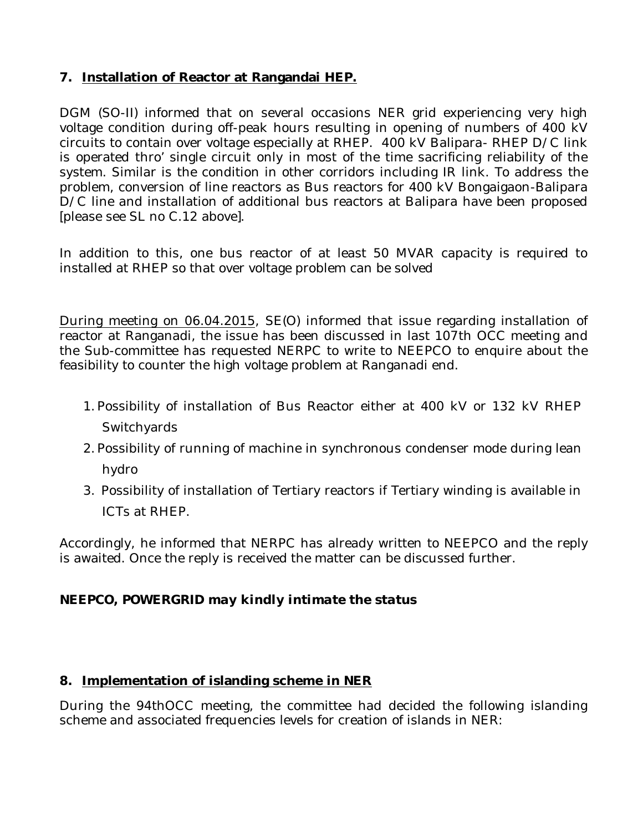# **7. Installation of Reactor at Rangandai HEP.**

DGM (SO-II) informed that on several occasions NER grid experiencing very high voltage condition during off-peak hours resulting in opening of numbers of 400 kV circuits to contain over voltage especially at RHEP. 400 kV Balipara- RHEP D/C link is operated thro' single circuit only in most of the time sacrificing reliability of the system. Similar is the condition in other corridors including IR link. To address the problem, conversion of line reactors as Bus reactors for 400 kV Bongaigaon-Balipara D/C line and installation of additional bus reactors at Balipara have been proposed [please see SL no C.12 above].

In addition to this, one bus reactor of at least 50 MVAR capacity is required to installed at RHEP so that over voltage problem can be solved

During meeting on 06.04.2015, SE(O) informed that issue regarding installation of reactor at Ranganadi, the issue has been discussed in last 107th OCC meeting and the Sub-committee has requested NERPC to write to NEEPCO to enquire about the feasibility to counter the high voltage problem at Ranganadi end.

- 1. Possibility of installation of Bus Reactor either at 400 kV or 132 kV RHEP **Switchyards**
- 2. Possibility of running of machine in synchronous condenser mode during lean hydro
- 3. Possibility of installation of Tertiary reactors if Tertiary winding is available in ICTs at RHEP.

Accordingly, he informed that NERPC has already written to NEEPCO and the reply is awaited. Once the reply is received the matter can be discussed further.

# *NEEPCO, POWERGRID may kindly intimate the status*

#### **8. Implementation of islanding scheme in NER**

During the 94thOCC meeting, the committee had decided the following islanding scheme and associated frequencies levels for creation of islands in NER: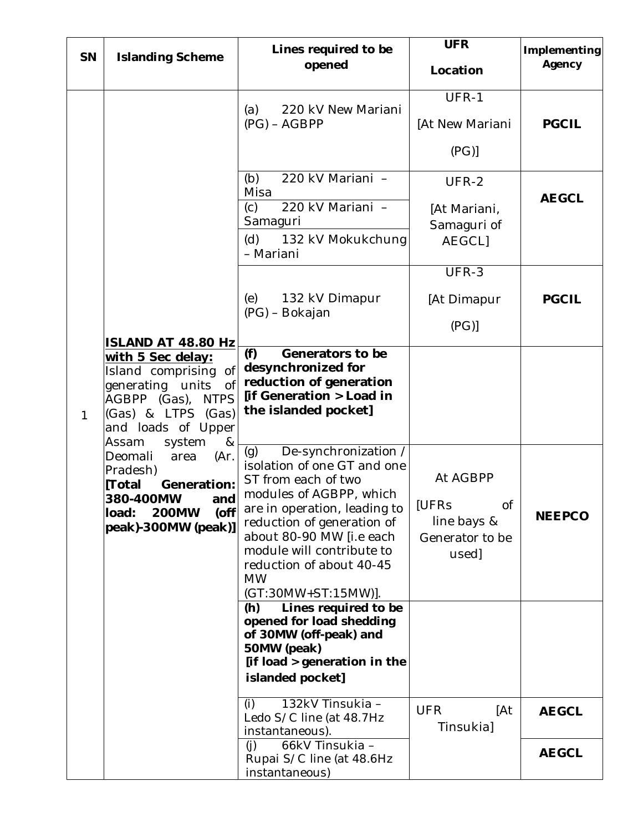| <b>SN</b>    | <b>Islanding Scheme</b>                                                                                                                                                                                                                                                                                                                        | Lines required to be<br>opened                                                                                                                                                                                                                                                                      | <b>UFR</b><br>Location                                                           | Implementing<br>Agency |
|--------------|------------------------------------------------------------------------------------------------------------------------------------------------------------------------------------------------------------------------------------------------------------------------------------------------------------------------------------------------|-----------------------------------------------------------------------------------------------------------------------------------------------------------------------------------------------------------------------------------------------------------------------------------------------------|----------------------------------------------------------------------------------|------------------------|
| $\mathbf{1}$ | ISLAND AT 48.80 Hz<br>with 5 Sec delay:<br>of <sub>l</sub><br>Island comprising<br>generating units<br>of<br>AGBPP (Gas), NTPS<br>(Gas) & LTPS (Gas)<br>and loads of Upper<br>Assam<br>system<br>&<br>Deomali<br>(Ar)<br>area<br>Pradesh)<br>[Total<br>Generation:<br>and<br>380-400MW<br>load:<br><b>200MW</b><br>(off<br>peak)-300MW (peak)] | 220 kV New Mariani<br>(a)<br>$(PG) - AGBPP$                                                                                                                                                                                                                                                         | UFR-1<br>[At New Mariani<br>(PG)                                                 | <b>PGCIL</b>           |
|              |                                                                                                                                                                                                                                                                                                                                                | 220 kV Mariani -<br>(b)<br>Misa<br>220 kV Mariani -<br>(c)<br>Samaguri<br>(d) 132 kV Mokukchung<br>- Mariani                                                                                                                                                                                        | UFR-2<br>[At Mariani,<br>Samaguri of<br><b>AEGCLI</b>                            | <b>AEGCL</b>           |
|              |                                                                                                                                                                                                                                                                                                                                                | 132 kV Dimapur<br>(e)<br>(PG) - Bokajan                                                                                                                                                                                                                                                             | UFR-3<br>[At Dimapur<br>(PG)                                                     | <b>PGCIL</b>           |
|              |                                                                                                                                                                                                                                                                                                                                                | Generators to be<br>(f)<br>desynchronized for<br>reduction of generation<br>[if Generation > Load in<br>the islanded pocket]                                                                                                                                                                        |                                                                                  |                        |
|              |                                                                                                                                                                                                                                                                                                                                                | De-synchronization /<br>(q)<br>isolation of one GT and one<br>ST from each of two<br>modules of AGBPP, which<br>are in operation, leading to<br>reduction of generation of<br>about 80-90 MW [i.e each<br>module will contribute to<br>reduction of about 40-45<br><b>MW</b><br>(GT:30MW+ST:15MW)]. | At AGBPP<br><b>IUFRS</b><br><b>of</b><br>line bays &<br>Generator to be<br>used] | <b>NEEPCO</b>          |
|              |                                                                                                                                                                                                                                                                                                                                                | Lines required to be<br>(h)<br>opened for load shedding<br>of 30MW (off-peak) and<br>50MW (peak)<br>[if load > generation in the<br>islanded pocket]                                                                                                                                                |                                                                                  |                        |
|              |                                                                                                                                                                                                                                                                                                                                                | 132kV Tinsukia -<br>(i)<br>Ledo S/C line (at 48.7Hz<br>instantaneous).                                                                                                                                                                                                                              | <b>UFR</b><br>[At<br>Tinsukia]                                                   | <b>AEGCL</b>           |
|              |                                                                                                                                                                                                                                                                                                                                                | 66kV Tinsukia -<br>(i)<br>Rupai S/C line (at 48.6Hz<br>instantaneous)                                                                                                                                                                                                                               |                                                                                  | <b>AEGCL</b>           |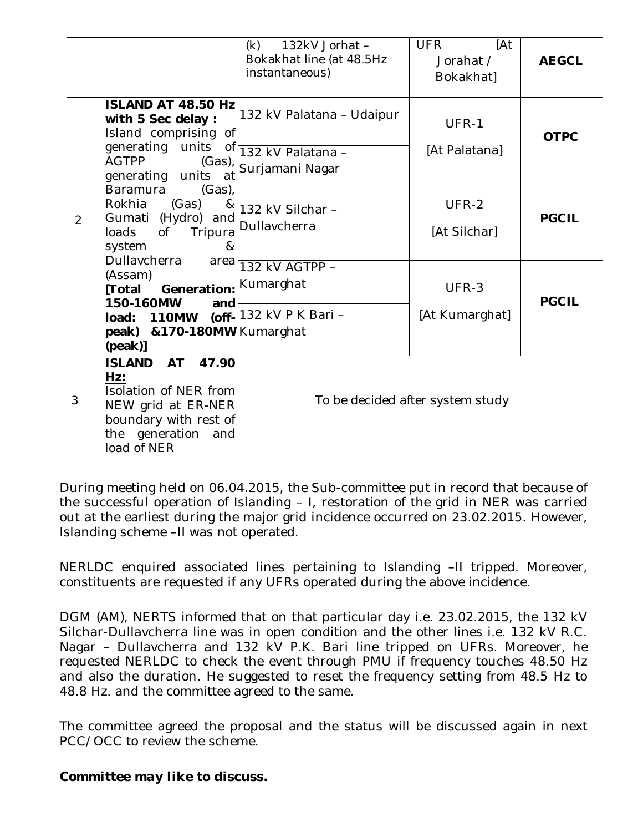|   |                                                                                                                                                                                            | 132kV Jorhat -<br>(k)<br>Bokakhat line (at 48.5Hz<br>instantaneous) | [At<br><b>UFR</b><br>Jorahat /<br>Bokakhat] | <b>AEGCL</b> |
|---|--------------------------------------------------------------------------------------------------------------------------------------------------------------------------------------------|---------------------------------------------------------------------|---------------------------------------------|--------------|
|   | <b>ISLAND AT 48.50 Hz</b><br>with 5 Sec delay :<br>Island comprising of<br>generating units of 132 kV Palatana -<br><b>AGTPP</b><br>$(Gas)$ ,<br>generating units<br>at<br><b>Baramura</b> | 132 kV Palatana - Udaipur<br>Surjamani Nagar                        | UFR-1<br>[At Palatana]                      | <b>OTPC</b>  |
| 2 | $(Gas)$ ,<br>Rokhia<br>(Gas)<br>Gumati (Hydro) and<br>loads<br>of<br>Tripura<br>system<br>8 <sub>k</sub><br>Dullavcherra                                                                   | $\frac{8}{1}$ 132 kV Silchar -<br>Dullavcherra                      | UFR-2<br>[At Silchar]                       | <b>PGCIL</b> |
|   | area<br>(Assam)<br><b>[Total Generation:</b> Kumarghat<br>150-160MW<br>and<br>load: 110MW<br>peak) & 170-180MW Kumarghat<br><i>(peak)]</i>                                                 | 132 kV AGTPP -<br>(off- 132 kV P K Bari -                           | UFR-3<br>[At Kumarghat]                     | <b>PGCIL</b> |
| 3 | <b>ISLAND</b><br><b>AT</b><br>47.90<br>Hz:<br>Isolation of NER from<br>NEW grid at ER-NER<br>boundary with rest of<br>generation<br>the<br>and<br>load of NER                              |                                                                     | To be decided after system study            |              |

During meeting held on 06.04.2015, the Sub-committee put in record that because of the successful operation of Islanding – I, restoration of the grid in NER was carried out at the earliest during the major grid incidence occurred on 23.02.2015. However, Islanding scheme –II was not operated.

NERLDC enquired associated lines pertaining to Islanding –II tripped. Moreover, constituents are requested if any UFRs operated during the above incidence.

DGM (AM), NERTS informed that on that particular day i.e. 23.02.2015, the 132 kV Silchar-Dullavcherra line was in open condition and the other lines i.e. 132 kV R.C. Nagar – Dullavcherra and 132 kV P.K. Bari line tripped on UFRs. Moreover, he requested NERLDC to check the event through PMU if frequency touches 48.50 Hz and also the duration. He suggested to reset the frequency setting from 48.5 Hz to 48.8 Hz. and the committee agreed to the same.

The committee agreed the proposal and the status will be discussed again in next PCC/OCC to review the scheme.

#### *Committee may like to discuss.*